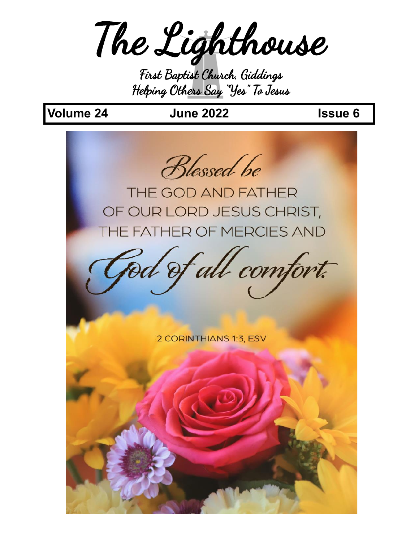The Lighthouse

First Baptist Church, Giddings Helping Others Say "Yes" To Jesus

## **Volume 24 June 2022 Issue 6**

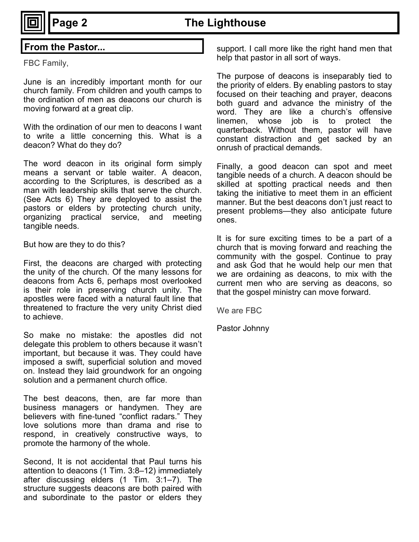## **Page 2 The Lighthouse**

FBC Family,

June is an incredibly important month for our church family. From children and youth camps to the ordination of men as deacons our church is moving forward at a great clip.

With the ordination of our men to deacons I want to write a little concerning this. What is a deacon? What do they do?

The word deacon in its original form simply means a servant or table waiter. A deacon, according to the Scriptures, is described as a man with leadership skills that serve the church. (See Acts 6) They are deployed to assist the pastors or elders by protecting church unity, organizing practical service, and meeting tangible needs.

But how are they to do this?

First, the deacons are charged with protecting the unity of the church. Of the many lessons for deacons from Acts 6, perhaps most overlooked is their role in preserving church unity. The apostles were faced with a natural fault line that threatened to fracture the very unity Christ died to achieve.

So make no mistake: the apostles did not delegate this problem to others because it wasn't important, but because it was. They could have imposed a swift, superficial solution and moved on. Instead they laid groundwork for an ongoing solution and a permanent church office.

The best deacons, then, are far more than business managers or handymen. They are believers with fine-tuned "conflict radars." They love solutions more than drama and rise to respond, in creatively constructive ways, to promote the harmony of the whole.

Second, It is not accidental that Paul turns his attention to deacons (1 Tim. 3:8–12) immediately after discussing elders (1 Tim. 3:1–7). The structure suggests deacons are both paired with and subordinate to the pastor or elders they

**From the Pastor... Support.** I call more like the right hand men that help that pastor in all sort of ways.

> The purpose of deacons is inseparably tied to the priority of elders. By enabling pastors to stay focused on their teaching and prayer, deacons both guard and advance the ministry of the word. They are like a church's offensive linemen, whose job is to protect the quarterback. Without them, pastor will have constant distraction and get sacked by an onrush of practical demands.

> Finally, a good deacon can spot and meet tangible needs of a church. A deacon should be skilled at spotting practical needs and then taking the initiative to meet them in an efficient manner. But the best deacons don't just react to present problems—they also anticipate future ones.

> It is for sure exciting times to be a part of a church that is moving forward and reaching the community with the gospel. Continue to pray and ask God that he would help our men that we are ordaining as deacons, to mix with the current men who are serving as deacons, so that the gospel ministry can move forward.

We are FBC

Pastor Johnny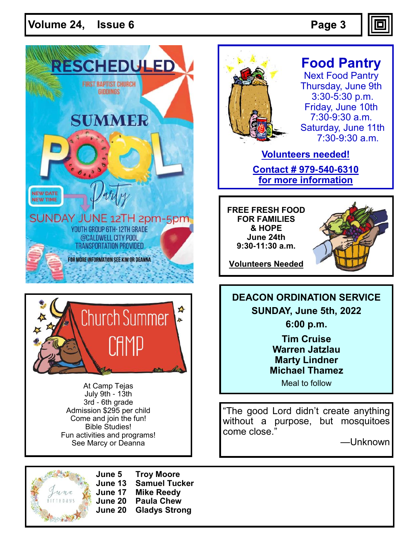### **Volume 24, Issue**





At Camp Tejas July 9th - 13th 3rd - 6th grade Admission \$295 per child Come and join the fun! Bible Studies! Fun activities and programs! See Marcy or Deanna



**June 5 Troy Moore June 13 Samuel Tucker June 17 Mike Reedy June 20 Paula Chew June 20 Gladys Strong**



## **Food Pantry**

Next Food Pantry Thursday, June 9th 3:30-5:30 p.m. Friday, June 10th 7:30-9:30 a.m. Saturday, June 11th 7:30-9:30 a.m.

**Volunteers needed! Contact # 979-540-6310 for more information**

**FREE FRESH FOOD FOR FAMILIES & HOPE June 24th 9:30-11:30 a.m.**



**Volunteers Needed**

**DEACON ORDINATION SERVICE SUNDAY, June 5th, 2022 6:00 p.m.**

> **Tim Cruise Warren Jatzlau Marty Lindner Michael Thamez**

> > Meal to follow

"The good Lord didn't create anything without a purpose, but mosquitoes come close."

—Unknown